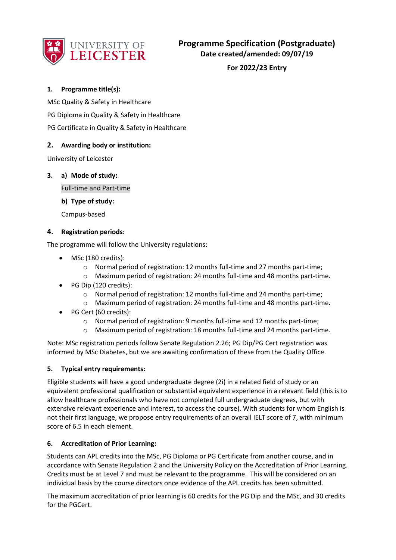

**For 2022/23 Entry**

### **1. Programme title(s):**

MSc Quality & Safety in Healthcare

PG Diploma in Quality & Safety in Healthcare

PG Certificate in Quality & Safety in Healthcare

### **2. Awarding body or institution:**

University of Leicester

### **3. a) Mode of study:**

Full-time and Part-time

**b) Type of study:**

Campus-based

#### **4. Registration periods:**

The programme will follow the University regulations:

- MSc (180 credits):
	- $\circ$  Normal period of registration: 12 months full-time and 27 months part-time;
	- o Maximum period of registration: 24 months full-time and 48 months part-time.
- PG Dip (120 credits):
	- o Normal period of registration: 12 months full-time and 24 months part-time;
	- o Maximum period of registration: 24 months full-time and 48 months part-time.
- PG Cert (60 credits):
	- o Normal period of registration: 9 months full-time and 12 months part-time;
	- o Maximum period of registration: 18 months full-time and 24 months part-time.

Note: MSc registration periods follow Senate Regulation 2.26; PG Dip/PG Cert registration was informed by MSc Diabetes, but we are awaiting confirmation of these from the Quality Office.

#### **5. Typical entry requirements:**

Eligible students will have a good undergraduate degree (2i) in a related field of study or an equivalent professional qualification or substantial equivalent experience in a relevant field (this is to allow healthcare professionals who have not completed full undergraduate degrees, but with extensive relevant experience and interest, to access the course). With students for whom English is not their first language, we propose entry requirements of an overall IELT score of 7, with minimum score of 6.5 in each element.

#### **6. Accreditation of Prior Learning:**

Students can APL credits into the MSc, PG Diploma or PG Certificate from another course, and in accordance with Senate Regulation 2 and the University Policy on the Accreditation of Prior Learning. Credits must be at Level 7 and must be relevant to the programme. This will be considered on an individual basis by the course directors once evidence of the APL credits has been submitted.

The maximum accreditation of prior learning is 60 credits for the PG Dip and the MSc, and 30 credits for the PGCert.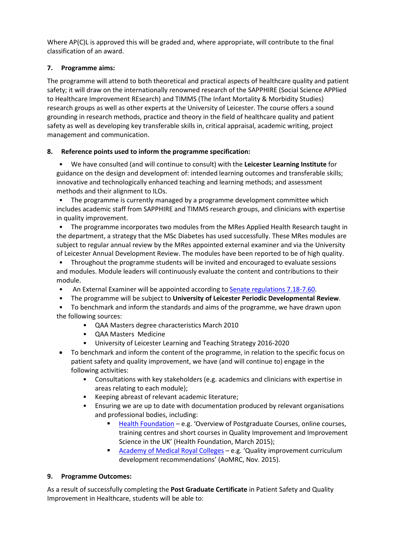Where AP(C)L is approved this will be graded and, where appropriate, will contribute to the final classification of an award.

# **7. Programme aims:**

The programme will attend to both theoretical and practical aspects of healthcare quality and patient safety; it will draw on the internationally renowned research of the SAPPHIRE (Social Science APPlied to Healthcare Improvement REsearch) and TIMMS (The Infant Mortality & Morbidity Studies) research groups as well as other experts at the University of Leicester. The course offers a sound grounding in research methods, practice and theory in the field of healthcare quality and patient safety as well as developing key transferable skills in, critical appraisal, academic writing, project management and communication.

# **8. Reference points used to inform the programme specification:**

• We have consulted (and will continue to consult) with the **Leicester Learning Institute** for guidance on the design and development of: intended learning outcomes and transferable skills; innovative and technologically enhanced teaching and learning methods; and assessment methods and their alignment to ILOs.

• The programme is currently managed by a programme development committee which includes academic staff from SAPPHIRE and TIMMS research groups, and clinicians with expertise in quality improvement.

• The programme incorporates two modules from the MRes Applied Health Research taught in the department, a strategy that the MSc Diabetes has used successfully. These MRes modules are subject to regular annual review by the MRes appointed external examiner and via the University of Leicester Annual Development Review. The modules have been reported to be of high quality.

• Throughout the programme students will be invited and encouraged to evaluate sessions and modules. Module leaders will continuously evaluate the content and contributions to their module.

- An External Examiner will be appointed according to [Senate regulations 7.18-7.60.](http://www2.le.ac.uk/offices/sas2/regulations/general-regulations-for-taught-programmes)
- The programme will be subject to **University of Leicester Periodic Developmental Review**.

• To benchmark and inform the standards and aims of the programme, we have drawn upon the following sources:

- QAA Masters degree characteristics March 2010
- QAA Masters Medicine
- University of Leicester Learning and Teaching Strategy 2016-2020
- To benchmark and inform the content of the programme, in relation to the specific focus on patient safety and quality improvement, we have (and will continue to) engage in the following activities:
	- Consultations with key stakeholders (e.g. academics and clinicians with expertise in areas relating to each module);
	- Keeping abreast of relevant academic literature;
	- Ensuring we are up to date with documentation produced by relevant organisations and professional bodies, including:
		- [Health Foundation](http://www.health.org.uk/publications) e.g. 'Overview of Postgraduate Courses, online courses, training centres and short courses in Quality Improvement and Improvement Science in the UK' (Health Foundation, March 2015);
		- [Academy of Medical Royal Colleges](http://www.aomrc.org.uk/) e.g. 'Quality improvement curriculum development recommendations' (AoMRC, Nov. 2015).

### **9. Programme Outcomes:**

As a result of successfully completing the **Post Graduate Certificate** in Patient Safety and Quality Improvement in Healthcare, students will be able to: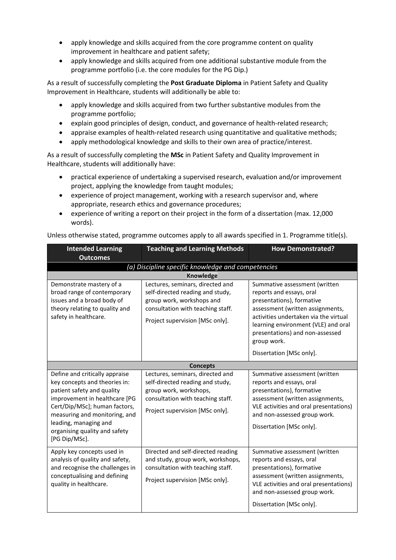- apply knowledge and skills acquired from the core programme content on quality improvement in healthcare and patient safety;
- apply knowledge and skills acquired from one additional substantive module from the programme portfolio (i.e. the core modules for the PG Dip.)

As a result of successfully completing the **Post Graduate Diploma** in Patient Safety and Quality Improvement in Healthcare, students will additionally be able to:

- apply knowledge and skills acquired from two further substantive modules from the programme portfolio;
- explain good principles of design, conduct, and governance of health-related research;
- appraise examples of health-related research using quantitative and qualitative methods;
- apply methodological knowledge and skills to their own area of practice/interest.

As a result of successfully completing the **MSc** in Patient Safety and Quality Improvement in Healthcare, students will additionally have:

- practical experience of undertaking a supervised research, evaluation and/or improvement project, applying the knowledge from taught modules;
- experience of project management, working with a research supervisor and, where appropriate, research ethics and governance procedures;
- experience of writing a report on their project in the form of a dissertation (max. 12,000 words).

| <b>Intended Learning</b>                                                                                                                                                                                                                                                    | <b>Teaching and Learning Methods</b>                                                                                                                                      | <b>How Demonstrated?</b>                                                                                                                                                                                                                                                                 |  |  |
|-----------------------------------------------------------------------------------------------------------------------------------------------------------------------------------------------------------------------------------------------------------------------------|---------------------------------------------------------------------------------------------------------------------------------------------------------------------------|------------------------------------------------------------------------------------------------------------------------------------------------------------------------------------------------------------------------------------------------------------------------------------------|--|--|
| <b>Outcomes</b>                                                                                                                                                                                                                                                             |                                                                                                                                                                           |                                                                                                                                                                                                                                                                                          |  |  |
|                                                                                                                                                                                                                                                                             | (a) Discipline specific knowledge and competencies                                                                                                                        |                                                                                                                                                                                                                                                                                          |  |  |
|                                                                                                                                                                                                                                                                             | Knowledge                                                                                                                                                                 |                                                                                                                                                                                                                                                                                          |  |  |
| Demonstrate mastery of a<br>broad range of contemporary<br>issues and a broad body of<br>theory relating to quality and<br>safety in healthcare.                                                                                                                            | Lectures, seminars, directed and<br>self-directed reading and study,<br>group work, workshops and<br>consultation with teaching staff.<br>Project supervision [MSc only]. | Summative assessment (written<br>reports and essays, oral<br>presentations), formative<br>assessment (written assignments,<br>activities undertaken via the virtual<br>learning environment (VLE) and oral<br>presentations) and non-assessed<br>group work.<br>Dissertation [MSc only]. |  |  |
| <b>Concepts</b>                                                                                                                                                                                                                                                             |                                                                                                                                                                           |                                                                                                                                                                                                                                                                                          |  |  |
| Define and critically appraise<br>key concepts and theories in:<br>patient safety and quality<br>improvement in healthcare [PG<br>Cert/Dip/MSc]; human factors,<br>measuring and monitoring, and<br>leading, managing and<br>organising quality and safety<br>[PG Dip/MSc]. | Lectures, seminars, directed and<br>self-directed reading and study,<br>group work, workshops,<br>consultation with teaching staff.<br>Project supervision [MSc only].    | Summative assessment (written<br>reports and essays, oral<br>presentations), formative<br>assessment (written assignments,<br>VLE activities and oral presentations)<br>and non-assessed group work.<br>Dissertation [MSc only].                                                         |  |  |
| Apply key concepts used in<br>analysis of quality and safety,<br>and recognise the challenges in<br>conceptualising and defining<br>quality in healthcare.                                                                                                                  | Directed and self-directed reading<br>and study, group work, workshops,<br>consultation with teaching staff.<br>Project supervision [MSc only].                           | Summative assessment (written<br>reports and essays, oral<br>presentations), formative<br>assessment (written assignments,<br>VLE activities and oral presentations)<br>and non-assessed group work.<br>Dissertation [MSc only].                                                         |  |  |

Unless otherwise stated, programme outcomes apply to all awards specified in 1. Programme title(s).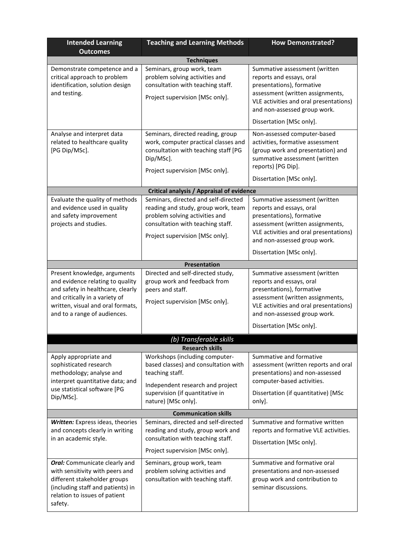| <b>Intended Learning</b><br><b>Outcomes</b>                                                                                                                                                                  | <b>Teaching and Learning Methods</b>                                                                                                                                                    | <b>How Demonstrated?</b>                                                                                                                                                                                                         |  |  |
|--------------------------------------------------------------------------------------------------------------------------------------------------------------------------------------------------------------|-----------------------------------------------------------------------------------------------------------------------------------------------------------------------------------------|----------------------------------------------------------------------------------------------------------------------------------------------------------------------------------------------------------------------------------|--|--|
|                                                                                                                                                                                                              | <b>Techniques</b>                                                                                                                                                                       |                                                                                                                                                                                                                                  |  |  |
| Demonstrate competence and a<br>critical approach to problem<br>identification, solution design<br>and testing.                                                                                              | Seminars, group work, team<br>problem solving activities and<br>consultation with teaching staff.<br>Project supervision [MSc only].                                                    | Summative assessment (written<br>reports and essays, oral<br>presentations), formative<br>assessment (written assignments,<br>VLE activities and oral presentations)<br>and non-assessed group work.                             |  |  |
|                                                                                                                                                                                                              |                                                                                                                                                                                         | Dissertation [MSc only].                                                                                                                                                                                                         |  |  |
| Analyse and interpret data<br>related to healthcare quality<br>[PG Dip/MSc].                                                                                                                                 | Seminars, directed reading, group<br>work, computer practical classes and<br>consultation with teaching staff [PG<br>Dip/MSc].<br>Project supervision [MSc only].                       | Non-assessed computer-based<br>activities, formative assessment<br>(group work and presentation) and<br>summative assessment (written<br>reports) [PG Dip].                                                                      |  |  |
|                                                                                                                                                                                                              |                                                                                                                                                                                         | Dissertation [MSc only].                                                                                                                                                                                                         |  |  |
|                                                                                                                                                                                                              | <b>Critical analysis / Appraisal of evidence</b>                                                                                                                                        |                                                                                                                                                                                                                                  |  |  |
| Evaluate the quality of methods<br>and evidence used in quality<br>and safety improvement<br>projects and studies.                                                                                           | Seminars, directed and self-directed<br>reading and study, group work, team<br>problem solving activities and<br>consultation with teaching staff.<br>Project supervision [MSc only].   | Summative assessment (written<br>reports and essays, oral<br>presentations), formative<br>assessment (written assignments,<br>VLE activities and oral presentations)<br>and non-assessed group work.<br>Dissertation [MSc only]. |  |  |
|                                                                                                                                                                                                              | Presentation                                                                                                                                                                            |                                                                                                                                                                                                                                  |  |  |
| Present knowledge, arguments<br>and evidence relating to quality<br>and safety in healthcare, clearly<br>and critically in a variety of<br>written, visual and oral formats,<br>and to a range of audiences. | Directed and self-directed study,<br>group work and feedback from<br>peers and staff.<br>Project supervision [MSc only].                                                                | Summative assessment (written<br>reports and essays, oral<br>presentations), formative<br>assessment (written assignments,<br>VLE activities and oral presentations)<br>and non-assessed group work.<br>Dissertation [MSc only]. |  |  |
|                                                                                                                                                                                                              |                                                                                                                                                                                         |                                                                                                                                                                                                                                  |  |  |
|                                                                                                                                                                                                              | (b) Transferable skills<br><b>Research skills</b>                                                                                                                                       |                                                                                                                                                                                                                                  |  |  |
| Apply appropriate and<br>sophisticated research<br>methodology; analyse and<br>interpret quantitative data; and<br>use statistical software [PG<br>Dip/MSc].                                                 | Workshops (including computer-<br>based classes) and consultation with<br>teaching staff.<br>Independent research and project<br>supervision (if quantitative in<br>nature) [MSc only]. | Summative and formative<br>assessment (written reports and oral<br>presentations) and non-assessed<br>computer-based activities.<br>Dissertation (if quantitative) [MSc<br>only].                                                |  |  |
|                                                                                                                                                                                                              | <b>Communication skills</b>                                                                                                                                                             |                                                                                                                                                                                                                                  |  |  |
| Written: Express ideas, theories<br>and concepts clearly in writing<br>in an academic style.                                                                                                                 | Seminars, directed and self-directed<br>reading and study, group work and<br>consultation with teaching staff.<br>Project supervision [MSc only].                                       | Summative and formative written<br>reports and formative VLE activities.<br>Dissertation [MSc only].                                                                                                                             |  |  |
| <b>Oral:</b> Communicate clearly and<br>with sensitivity with peers and<br>different stakeholder groups<br>(including staff and patients) in<br>relation to issues of patient<br>safety.                     | Seminars, group work, team<br>problem solving activities and<br>consultation with teaching staff.                                                                                       | Summative and formative oral<br>presentations and non-assessed<br>group work and contribution to<br>seminar discussions.                                                                                                         |  |  |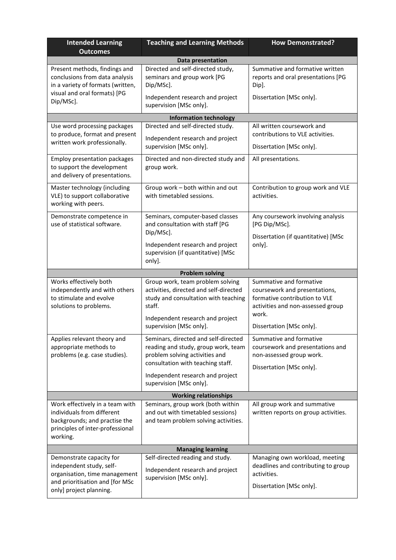| <b>Intended Learning</b><br><b>Outcomes</b>                                                                                                         | <b>Teaching and Learning Methods</b>                                                                                                                                                                              | <b>How Demonstrated?</b>                                                                                                                                            |  |
|-----------------------------------------------------------------------------------------------------------------------------------------------------|-------------------------------------------------------------------------------------------------------------------------------------------------------------------------------------------------------------------|---------------------------------------------------------------------------------------------------------------------------------------------------------------------|--|
|                                                                                                                                                     | Data presentation                                                                                                                                                                                                 |                                                                                                                                                                     |  |
| Present methods, findings and<br>conclusions from data analysis<br>in a variety of formats (written,<br>visual and oral formats) [PG                | Directed and self-directed study,<br>seminars and group work [PG<br>Dip/MSc].<br>Independent research and project                                                                                                 | Summative and formative written<br>reports and oral presentations [PG<br>Dip].<br>Dissertation [MSc only].                                                          |  |
| Dip/MSc].                                                                                                                                           | supervision [MSc only].                                                                                                                                                                                           |                                                                                                                                                                     |  |
|                                                                                                                                                     | <b>Information technology</b>                                                                                                                                                                                     |                                                                                                                                                                     |  |
| Use word processing packages                                                                                                                        | Directed and self-directed study.                                                                                                                                                                                 | All written coursework and                                                                                                                                          |  |
| to produce, format and present<br>written work professionally.                                                                                      | Independent research and project<br>supervision [MSc only].                                                                                                                                                       | contributions to VLE activities.<br>Dissertation [MSc only].                                                                                                        |  |
| <b>Employ presentation packages</b><br>to support the development<br>and delivery of presentations.                                                 | Directed and non-directed study and<br>group work.                                                                                                                                                                | All presentations.                                                                                                                                                  |  |
| Master technology (including<br>VLE) to support collaborative<br>working with peers.                                                                | Group work - both within and out<br>with timetabled sessions.                                                                                                                                                     | Contribution to group work and VLE<br>activities.                                                                                                                   |  |
| Demonstrate competence in<br>use of statistical software.                                                                                           | Seminars, computer-based classes<br>and consultation with staff [PG<br>Dip/MSc].                                                                                                                                  | Any coursework involving analysis<br>[PG Dip/MSc].<br>Dissertation (if quantitative) [MSc                                                                           |  |
|                                                                                                                                                     | Independent research and project<br>supervision (if quantitative) [MSc<br>only].                                                                                                                                  | only].                                                                                                                                                              |  |
|                                                                                                                                                     | <b>Problem solving</b>                                                                                                                                                                                            |                                                                                                                                                                     |  |
| Works effectively both<br>independently and with others<br>to stimulate and evolve<br>solutions to problems.                                        | Group work, team problem solving<br>activities, directed and self-directed<br>study and consultation with teaching<br>staff.<br>Independent research and project<br>supervision [MSc only].                       | Summative and formative<br>coursework and presentations,<br>formative contribution to VLE<br>activities and non-assessed group<br>work.<br>Dissertation [MSc only]. |  |
| Applies relevant theory and<br>appropriate methods to<br>problems (e.g. case studies).                                                              | Seminars, directed and self-directed<br>reading and study, group work, team<br>problem solving activities and<br>consultation with teaching staff.<br>Independent research and project<br>supervision [MSc only]. | Summative and formative<br>coursework and presentations and<br>non-assessed group work.<br>Dissertation [MSc only].                                                 |  |
| <b>Working relationships</b>                                                                                                                        |                                                                                                                                                                                                                   |                                                                                                                                                                     |  |
| Work effectively in a team with<br>individuals from different<br>backgrounds; and practise the<br>principles of inter-professional<br>working.      | Seminars, group work (both within<br>and out with timetabled sessions)<br>and team problem solving activities.                                                                                                    | All group work and summative<br>written reports on group activities.                                                                                                |  |
| <b>Managing learning</b>                                                                                                                            |                                                                                                                                                                                                                   |                                                                                                                                                                     |  |
| Demonstrate capacity for<br>independent study, self-<br>organisation, time management<br>and prioritisation and [for MSc<br>only] project planning. | Self-directed reading and study.<br>Independent research and project<br>supervision [MSc only].                                                                                                                   | Managing own workload, meeting<br>deadlines and contributing to group<br>activities.<br>Dissertation [MSc only].                                                    |  |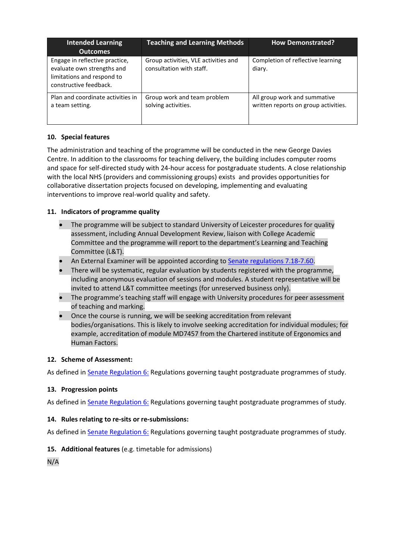| <b>Intended Learning</b><br><b>Outcomes</b>                                                                          | <b>Teaching and Learning Methods</b>                             | <b>How Demonstrated?</b>                                             |
|----------------------------------------------------------------------------------------------------------------------|------------------------------------------------------------------|----------------------------------------------------------------------|
| Engage in reflective practice,<br>evaluate own strengths and<br>limitations and respond to<br>constructive feedback. | Group activities, VLE activities and<br>consultation with staff. | Completion of reflective learning<br>diary.                          |
| Plan and coordinate activities in<br>a team setting.                                                                 | Group work and team problem<br>solving activities.               | All group work and summative<br>written reports on group activities. |

# **10. Special features**

The administration and teaching of the programme will be conducted in the new George Davies Centre. In addition to the classrooms for teaching delivery, the building includes computer rooms and space for self-directed study with 24-hour access for postgraduate students. A close relationship with the local NHS (providers and commissioning groups) exists and provides opportunities for collaborative dissertation projects focused on developing, implementing and evaluating interventions to improve real-world quality and safety.

# **11. Indicators of programme quality**

- The programme will be subject to standard University of Leicester procedures for quality assessment, including Annual Development Review, liaison with College Academic Committee and the programme will report to the department's Learning and Teaching Committee (L&T).
- An External Examiner will be appointed according to [Senate regulations 7.18-7.60.](http://www2.le.ac.uk/offices/sas2/regulations/general-regulations-for-taught-programmes)
- There will be systematic, regular evaluation by students registered with the programme, including anonymous evaluation of sessions and modules. A student representative will be invited to attend L&T committee meetings (for unreserved business only).
- The programme's teaching staff will engage with University procedures for peer assessment of teaching and marking.
- Once the course is running, we will be seeking accreditation from relevant bodies/organisations. This is likely to involve seeking accreditation for individual modules; for example, accreditation of module MD7457 from the Chartered institute of Ergonomics and Human Factors.

### **12. Scheme of Assessment:**

As defined in **Senate Regulation 6: Regulations governing taught postgraduate programmes of study.** 

# **13. Progression points**

As defined in **Senate Regulation 6: Regulations governing taught postgraduate programmes of study.** 

### **14. Rules relating to re-sits or re-submissions:**

As defined in **Senate Regulation 6: Regulations governing taught postgraduate programmes of study.** 

### **15. Additional features** (e.g. timetable for admissions)

N/A